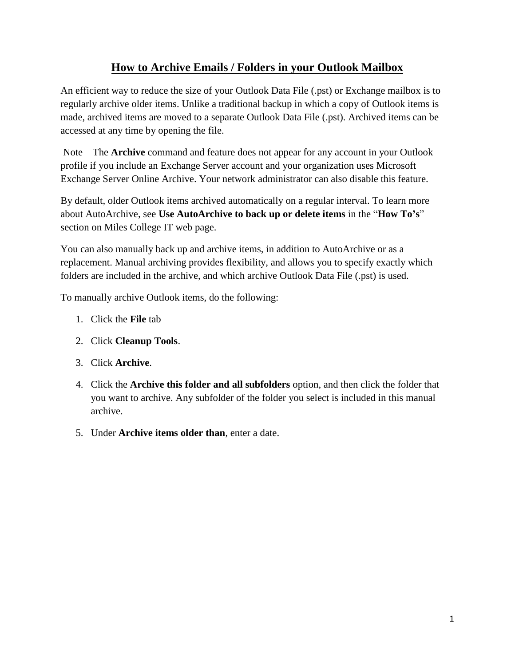## **How to Archive Emails / Folders in your Outlook Mailbox**

An efficient way to reduce the size of your Outlook Data File (.pst) or Exchange mailbox is to regularly archive older items. Unlike a traditional backup in which a copy of Outlook items is made, archived items are moved to a separate Outlook Data File (.pst). Archived items can be accessed at any time by opening the file.

Note The **Archive** command and feature does not appear for any account in your Outlook profile if you include an Exchange Server account and your organization uses Microsoft Exchange Server Online Archive. Your network administrator can also disable this feature.

By default, older Outlook items archived automatically on a regular interval. To learn more about AutoArchive, see **Use AutoArchive to back up or delete items** in the "**How To's**" section on Miles College IT web page.

You can also manually back up and archive items, in addition to AutoArchive or as a replacement. Manual archiving provides flexibility, and allows you to specify exactly which folders are included in the archive, and which archive Outlook Data File (.pst) is used.

To manually archive Outlook items, do the following:

- 1. Click the **File** tab
- 2. Click **Cleanup Tools**.
- 3. Click **Archive**.
- 4. Click the **Archive this folder and all subfolders** option, and then click the folder that you want to archive. Any subfolder of the folder you select is included in this manual archive.
- 5. Under **Archive items older than**, enter a date.